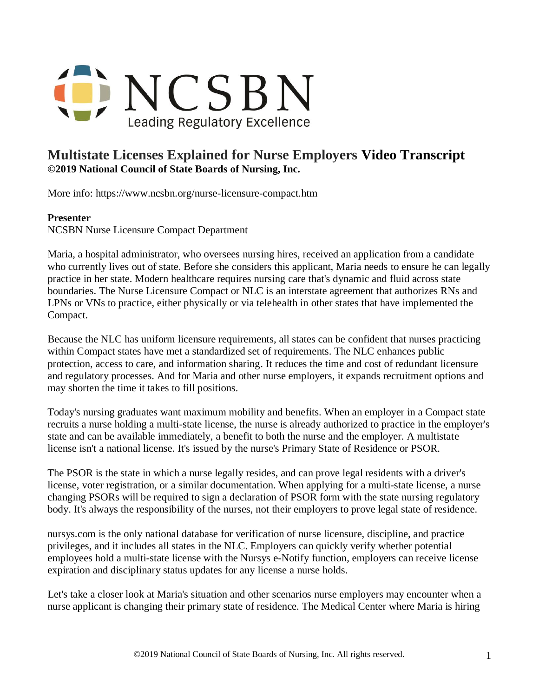

## **Multistate Licenses Explained for Nurse Employers Video Transcript ©2019 National Council of State Boards of Nursing, Inc.**

More info: https://www.ncsbn.org/nurse-licensure-compact.htm

## **Presenter**

NCSBN Nurse Licensure Compact Department

Maria, a hospital administrator, who oversees nursing hires, received an application from a candidate who currently lives out of state. Before she considers this applicant, Maria needs to ensure he can legally practice in her state. Modern healthcare requires nursing care that's dynamic and fluid across state boundaries. The Nurse Licensure Compact or NLC is an interstate agreement that authorizes RNs and LPNs or VNs to practice, either physically or via telehealth in other states that have implemented the Compact.

Because the NLC has uniform licensure requirements, all states can be confident that nurses practicing within Compact states have met a standardized set of requirements. The NLC enhances public protection, access to care, and information sharing. It reduces the time and cost of redundant licensure and regulatory processes. And for Maria and other nurse employers, it expands recruitment options and may shorten the time it takes to fill positions.

Today's nursing graduates want maximum mobility and benefits. When an employer in a Compact state recruits a nurse holding a multi-state license, the nurse is already authorized to practice in the employer's state and can be available immediately, a benefit to both the nurse and the employer. A multistate license isn't a national license. It's issued by the nurse's Primary State of Residence or PSOR.

The PSOR is the state in which a nurse legally resides, and can prove legal residents with a driver's license, voter registration, or a similar documentation. When applying for a multi-state license, a nurse changing PSORs will be required to sign a declaration of PSOR form with the state nursing regulatory body. It's always the responsibility of the nurses, not their employers to prove legal state of residence.

nursys.com is the only national database for verification of nurse licensure, discipline, and practice privileges, and it includes all states in the NLC. Employers can quickly verify whether potential employees hold a multi-state license with the Nursys e-Notify function, employers can receive license expiration and disciplinary status updates for any license a nurse holds.

Let's take a closer look at Maria's situation and other scenarios nurse employers may encounter when a nurse applicant is changing their primary state of residence. The Medical Center where Maria is hiring